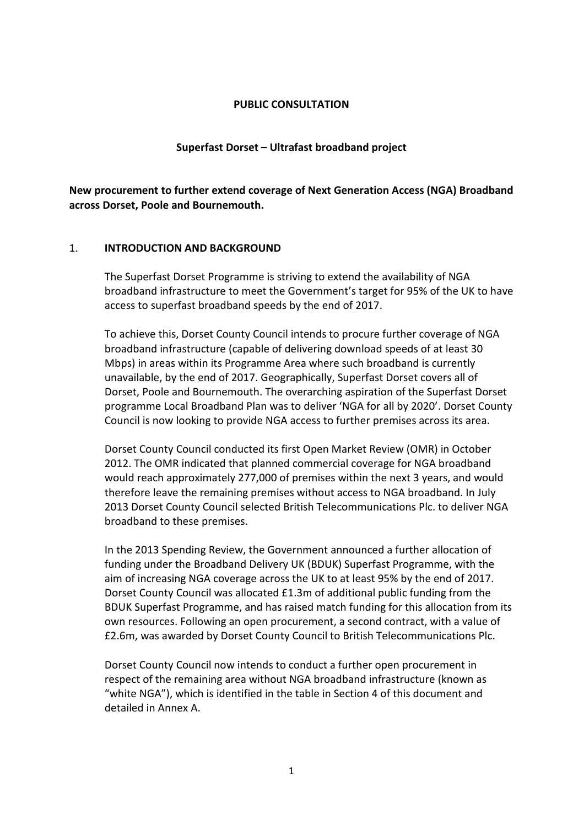#### PUBLIC CONSULTATION

#### Superfast Dorset – Ultrafast broadband project

New procurement to further extend coverage of Next Generation Access (NGA) Broadband across Dorset, Poole and Bournemouth.

#### 1. INTRODUCTION AND BACKGROUND

The Superfast Dorset Programme is striving to extend the availability of NGA broadband infrastructure to meet the Government's target for 95% of the UK to have access to superfast broadband speeds by the end of 2017.

To achieve this, Dorset County Council intends to procure further coverage of NGA broadband infrastructure (capable of delivering download speeds of at least 30 Mbps) in areas within its Programme Area where such broadband is currently unavailable, by the end of 2017. Geographically, Superfast Dorset covers all of Dorset, Poole and Bournemouth. The overarching aspiration of the Superfast Dorset programme Local Broadband Plan was to deliver 'NGA for all by 2020'. Dorset County Council is now looking to provide NGA access to further premises across its area.

Dorset County Council conducted its first Open Market Review (OMR) in October 2012. The OMR indicated that planned commercial coverage for NGA broadband would reach approximately 277,000 of premises within the next 3 years, and would therefore leave the remaining premises without access to NGA broadband. In July 2013 Dorset County Council selected British Telecommunications Plc. to deliver NGA broadband to these premises.

In the 2013 Spending Review, the Government announced a further allocation of funding under the Broadband Delivery UK (BDUK) Superfast Programme, with the aim of increasing NGA coverage across the UK to at least 95% by the end of 2017. Dorset County Council was allocated £1.3m of additional public funding from the BDUK Superfast Programme, and has raised match funding for this allocation from its own resources. Following an open procurement, a second contract, with a value of £2.6m, was awarded by Dorset County Council to British Telecommunications Plc.

Dorset County Council now intends to conduct a further open procurement in respect of the remaining area without NGA broadband infrastructure (known as "white NGA"), which is identified in the table in Section 4 of this document and detailed in Annex A.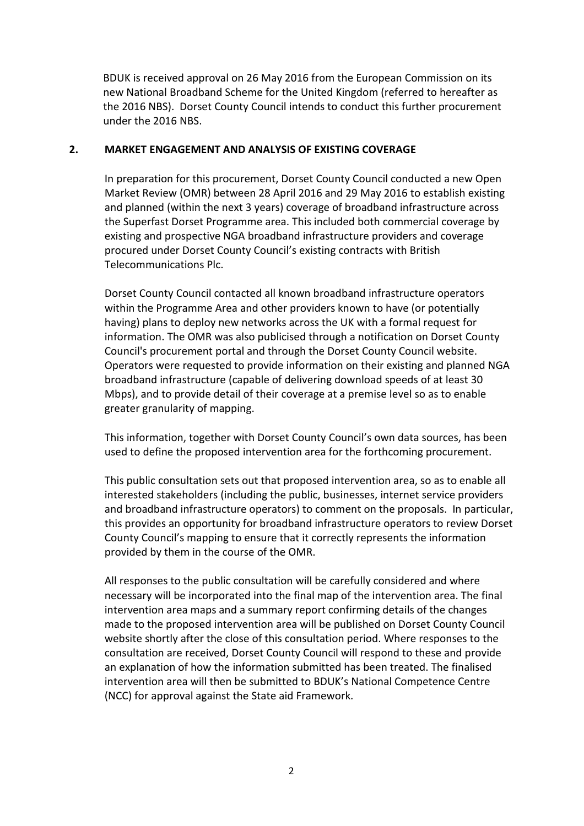BDUK is received approval on 26 May 2016 from the European Commission on its new National Broadband Scheme for the United Kingdom (referred to hereafter as the 2016 NBS). Dorset County Council intends to conduct this further procurement under the 2016 NBS.

### 2. MARKET ENGAGEMENT AND ANALYSIS OF EXISTING COVERAGE

In preparation for this procurement, Dorset County Council conducted a new Open Market Review (OMR) between 28 April 2016 and 29 May 2016 to establish existing and planned (within the next 3 years) coverage of broadband infrastructure across the Superfast Dorset Programme area. This included both commercial coverage by existing and prospective NGA broadband infrastructure providers and coverage procured under Dorset County Council's existing contracts with British Telecommunications Plc.

Dorset County Council contacted all known broadband infrastructure operators within the Programme Area and other providers known to have (or potentially having) plans to deploy new networks across the UK with a formal request for information. The OMR was also publicised through a notification on Dorset County Council's procurement portal and through the Dorset County Council website. Operators were requested to provide information on their existing and planned NGA broadband infrastructure (capable of delivering download speeds of at least 30 Mbps), and to provide detail of their coverage at a premise level so as to enable greater granularity of mapping.

This information, together with Dorset County Council's own data sources, has been used to define the proposed intervention area for the forthcoming procurement.

This public consultation sets out that proposed intervention area, so as to enable all interested stakeholders (including the public, businesses, internet service providers and broadband infrastructure operators) to comment on the proposals. In particular, this provides an opportunity for broadband infrastructure operators to review Dorset County Council's mapping to ensure that it correctly represents the information provided by them in the course of the OMR.

All responses to the public consultation will be carefully considered and where necessary will be incorporated into the final map of the intervention area. The final intervention area maps and a summary report confirming details of the changes made to the proposed intervention area will be published on Dorset County Council website shortly after the close of this consultation period. Where responses to the consultation are received, Dorset County Council will respond to these and provide an explanation of how the information submitted has been treated. The finalised intervention area will then be submitted to BDUK's National Competence Centre (NCC) for approval against the State aid Framework.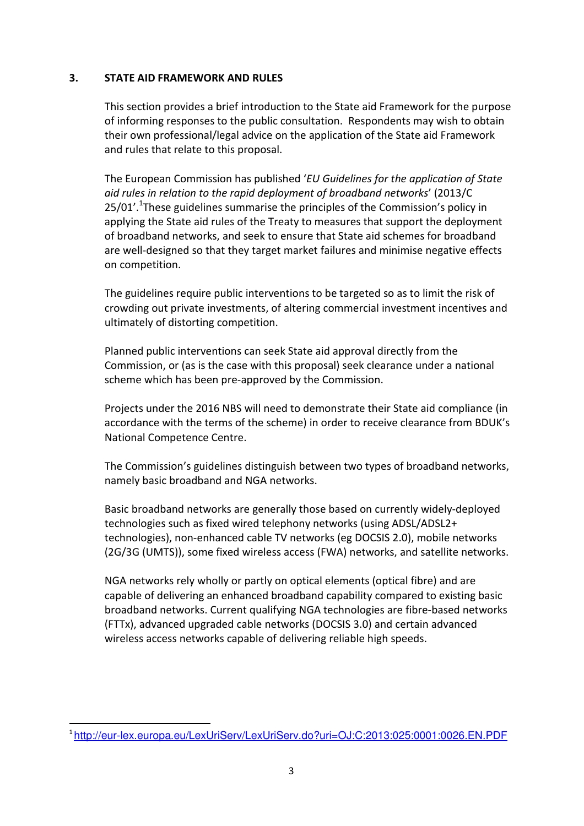### 3. STATE AID FRAMEWORK AND RULES

This section provides a brief introduction to the State aid Framework for the purpose of informing responses to the public consultation. Respondents may wish to obtain their own professional/legal advice on the application of the State aid Framework and rules that relate to this proposal.

The European Commission has published 'EU Guidelines for the application of State aid rules in relation to the rapid deployment of broadband networks' (2013/C 25/01'.<sup>1</sup>These guidelines summarise the principles of the Commission's policy in applying the State aid rules of the Treaty to measures that support the deployment of broadband networks, and seek to ensure that State aid schemes for broadband are well-designed so that they target market failures and minimise negative effects on competition.

The guidelines require public interventions to be targeted so as to limit the risk of crowding out private investments, of altering commercial investment incentives and ultimately of distorting competition.

Planned public interventions can seek State aid approval directly from the Commission, or (as is the case with this proposal) seek clearance under a national scheme which has been pre-approved by the Commission.

Projects under the 2016 NBS will need to demonstrate their State aid compliance (in accordance with the terms of the scheme) in order to receive clearance from BDUK's National Competence Centre.

The Commission's guidelines distinguish between two types of broadband networks, namely basic broadband and NGA networks.

Basic broadband networks are generally those based on currently widely-deployed technologies such as fixed wired telephony networks (using ADSL/ADSL2+ technologies), non-enhanced cable TV networks (eg DOCSIS 2.0), mobile networks (2G/3G (UMTS)), some fixed wireless access (FWA) networks, and satellite networks.

NGA networks rely wholly or partly on optical elements (optical fibre) and are capable of delivering an enhanced broadband capability compared to existing basic broadband networks. Current qualifying NGA technologies are fibre-based networks (FTTx), advanced upgraded cable networks (DOCSIS 3.0) and certain advanced wireless access networks capable of delivering reliable high speeds.

 $\overline{a}$ 

<sup>1</sup> http://eur-lex.europa.eu/LexUriServ/LexUriServ.do?uri=OJ:C:2013:025:0001:0026.EN.PDF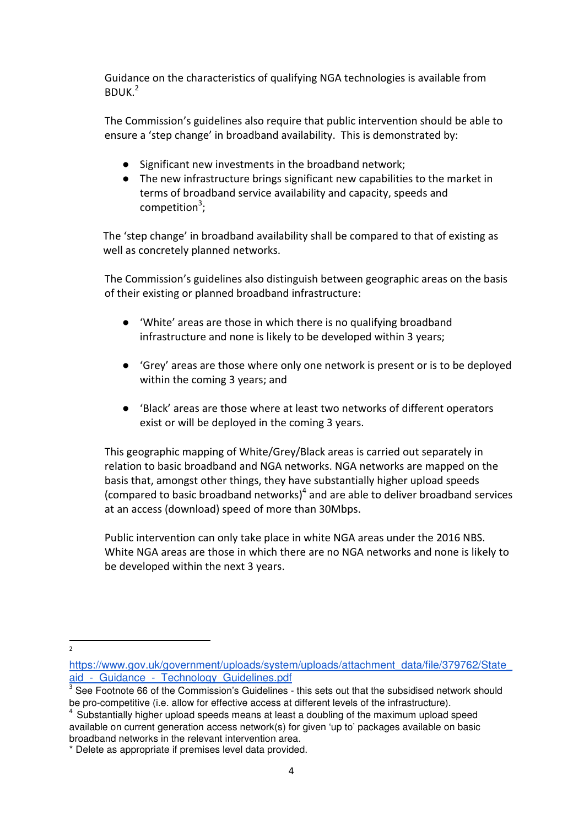Guidance on the characteristics of qualifying NGA technologies is available from  $BDUK.<sup>2</sup>$ 

The Commission's guidelines also require that public intervention should be able to ensure a 'step change' in broadband availability. This is demonstrated by:

- Significant new investments in the broadband network;
- The new infrastructure brings significant new capabilities to the market in terms of broadband service availability and capacity, speeds and competition<sup>3</sup>;

The 'step change' in broadband availability shall be compared to that of existing as well as concretely planned networks.

The Commission's guidelines also distinguish between geographic areas on the basis of their existing or planned broadband infrastructure:

- 'White' areas are those in which there is no qualifying broadband infrastructure and none is likely to be developed within 3 years;
- 'Grey' areas are those where only one network is present or is to be deployed within the coming 3 years; and
- 'Black' areas are those where at least two networks of different operators exist or will be deployed in the coming 3 years.

This geographic mapping of White/Grey/Black areas is carried out separately in relation to basic broadband and NGA networks. NGA networks are mapped on the basis that, amongst other things, they have substantially higher upload speeds (compared to basic broadband networks) $<sup>4</sup>$  and are able to deliver broadband services</sup> at an access (download) speed of more than 30Mbps.

Public intervention can only take place in white NGA areas under the 2016 NBS. White NGA areas are those in which there are no NGA networks and none is likely to be developed within the next 3 years.

 $\overline{2}$ 

https://www.gov.uk/government/uploads/system/uploads/attachment\_data/file/379762/State aid - Guidance - Technology Guidelines.pdf

<sup>&</sup>lt;sup>3</sup> See Footnote 66 of the Commission's Guidelines - this sets out that the subsidised network should be pro-competitive (i.e. allow for effective access at different levels of the infrastructure).

<sup>&</sup>lt;sup>4</sup> Substantially higher upload speeds means at least a doubling of the maximum upload speed available on current generation access network(s) for given 'up to' packages available on basic broadband networks in the relevant intervention area.

<sup>\*</sup> Delete as appropriate if premises level data provided.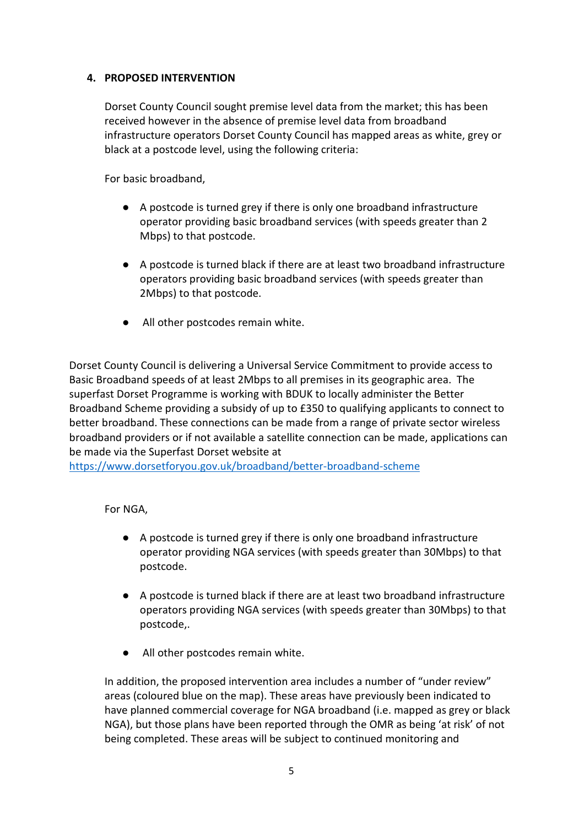# 4. PROPOSED INTERVENTION

Dorset County Council sought premise level data from the market; this has been received however in the absence of premise level data from broadband infrastructure operators Dorset County Council has mapped areas as white, grey or black at a postcode level, using the following criteria:

For basic broadband,

- A postcode is turned grey if there is only one broadband infrastructure operator providing basic broadband services (with speeds greater than 2 Mbps) to that postcode.
- A postcode is turned black if there are at least two broadband infrastructure operators providing basic broadband services (with speeds greater than 2Mbps) to that postcode.
- All other postcodes remain white.

Dorset County Council is delivering a Universal Service Commitment to provide access to Basic Broadband speeds of at least 2Mbps to all premises in its geographic area. The superfast Dorset Programme is working with BDUK to locally administer the Better Broadband Scheme providing a subsidy of up to £350 to qualifying applicants to connect to better broadband. These connections can be made from a range of private sector wireless broadband providers or if not available a satellite connection can be made, applications can be made via the Superfast Dorset website at

https://www.dorsetforyou.gov.uk/broadband/better-broadband-scheme

# For NGA,

- A postcode is turned grey if there is only one broadband infrastructure operator providing NGA services (with speeds greater than 30Mbps) to that postcode.
- A postcode is turned black if there are at least two broadband infrastructure operators providing NGA services (with speeds greater than 30Mbps) to that postcode,.
- All other postcodes remain white.

In addition, the proposed intervention area includes a number of "under review" areas (coloured blue on the map). These areas have previously been indicated to have planned commercial coverage for NGA broadband (i.e. mapped as grey or black NGA), but those plans have been reported through the OMR as being 'at risk' of not being completed. These areas will be subject to continued monitoring and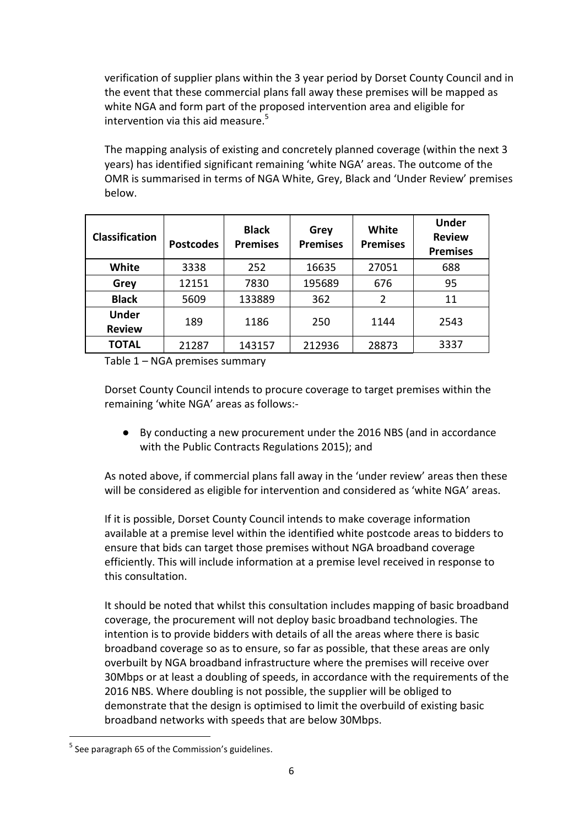verification of supplier plans within the 3 year period by Dorset County Council and in the event that these commercial plans fall away these premises will be mapped as white NGA and form part of the proposed intervention area and eligible for intervention via this aid measure. $5$ 

The mapping analysis of existing and concretely planned coverage (within the next 3 years) has identified significant remaining 'white NGA' areas. The outcome of the OMR is summarised in terms of NGA White, Grey, Black and 'Under Review' premises below.

| <b>Classification</b>         | <b>Postcodes</b> | <b>Black</b><br><b>Premises</b> | Grey<br><b>Premises</b> | White<br><b>Premises</b> | <b>Under</b><br><b>Review</b><br><b>Premises</b> |
|-------------------------------|------------------|---------------------------------|-------------------------|--------------------------|--------------------------------------------------|
| White                         | 3338             | 252                             | 16635                   | 27051                    | 688                                              |
| Grey                          | 12151            | 7830                            | 195689                  | 676                      | 95                                               |
| <b>Black</b>                  | 5609             | 133889                          | 362                     | $\overline{2}$           | 11                                               |
| <b>Under</b><br><b>Review</b> | 189              | 1186                            | 250                     | 1144                     | 2543                                             |
| <b>TOTAL</b>                  | 21287            | 143157                          | 212936                  | 28873                    | 3337                                             |

Table 1 – NGA premises summary

Dorset County Council intends to procure coverage to target premises within the remaining 'white NGA' areas as follows:-

● By conducting a new procurement under the 2016 NBS (and in accordance with the Public Contracts Regulations 2015); and

As noted above, if commercial plans fall away in the 'under review' areas then these will be considered as eligible for intervention and considered as 'white NGA' areas.

If it is possible, Dorset County Council intends to make coverage information available at a premise level within the identified white postcode areas to bidders to ensure that bids can target those premises without NGA broadband coverage efficiently. This will include information at a premise level received in response to this consultation.

It should be noted that whilst this consultation includes mapping of basic broadband coverage, the procurement will not deploy basic broadband technologies. The intention is to provide bidders with details of all the areas where there is basic broadband coverage so as to ensure, so far as possible, that these areas are only overbuilt by NGA broadband infrastructure where the premises will receive over 30Mbps or at least a doubling of speeds, in accordance with the requirements of the 2016 NBS. Where doubling is not possible, the supplier will be obliged to demonstrate that the design is optimised to limit the overbuild of existing basic broadband networks with speeds that are below 30Mbps.

 $\overline{a}$ 

<sup>&</sup>lt;sup>5</sup> See paragraph 65 of the Commission's guidelines.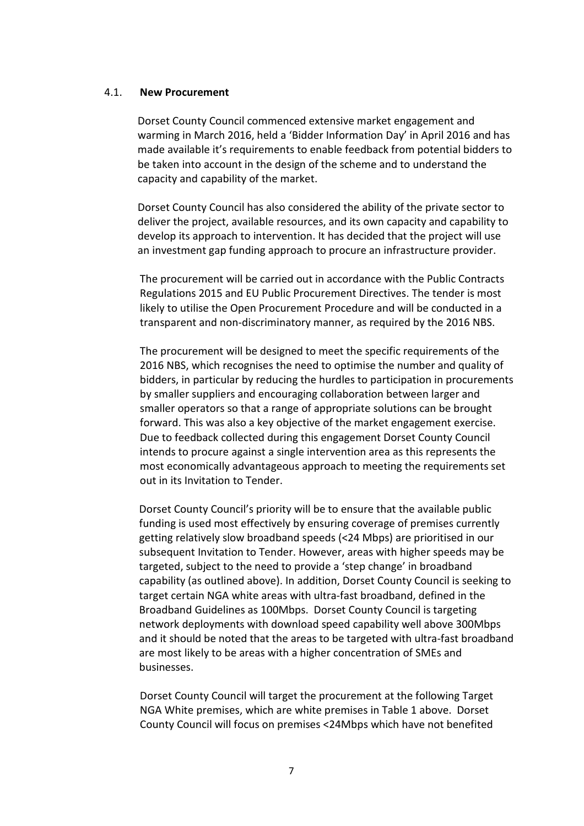#### 4.1. New Procurement

Dorset County Council commenced extensive market engagement and warming in March 2016, held a 'Bidder Information Day' in April 2016 and has made available it's requirements to enable feedback from potential bidders to be taken into account in the design of the scheme and to understand the capacity and capability of the market.

Dorset County Council has also considered the ability of the private sector to deliver the project, available resources, and its own capacity and capability to develop its approach to intervention. It has decided that the project will use an investment gap funding approach to procure an infrastructure provider.

The procurement will be carried out in accordance with the Public Contracts Regulations 2015 and EU Public Procurement Directives. The tender is most likely to utilise the Open Procurement Procedure and will be conducted in a transparent and non-discriminatory manner, as required by the 2016 NBS.

The procurement will be designed to meet the specific requirements of the 2016 NBS, which recognises the need to optimise the number and quality of bidders, in particular by reducing the hurdles to participation in procurements by smaller suppliers and encouraging collaboration between larger and smaller operators so that a range of appropriate solutions can be brought forward. This was also a key objective of the market engagement exercise. Due to feedback collected during this engagement Dorset County Council intends to procure against a single intervention area as this represents the most economically advantageous approach to meeting the requirements set out in its Invitation to Tender.

Dorset County Council's priority will be to ensure that the available public funding is used most effectively by ensuring coverage of premises currently getting relatively slow broadband speeds (<24 Mbps) are prioritised in our subsequent Invitation to Tender. However, areas with higher speeds may be targeted, subject to the need to provide a 'step change' in broadband capability (as outlined above). In addition, Dorset County Council is seeking to target certain NGA white areas with ultra-fast broadband, defined in the Broadband Guidelines as 100Mbps. Dorset County Council is targeting network deployments with download speed capability well above 300Mbps and it should be noted that the areas to be targeted with ultra-fast broadband are most likely to be areas with a higher concentration of SMEs and businesses.

Dorset County Council will target the procurement at the following Target NGA White premises, which are white premises in Table 1 above. Dorset County Council will focus on premises <24Mbps which have not benefited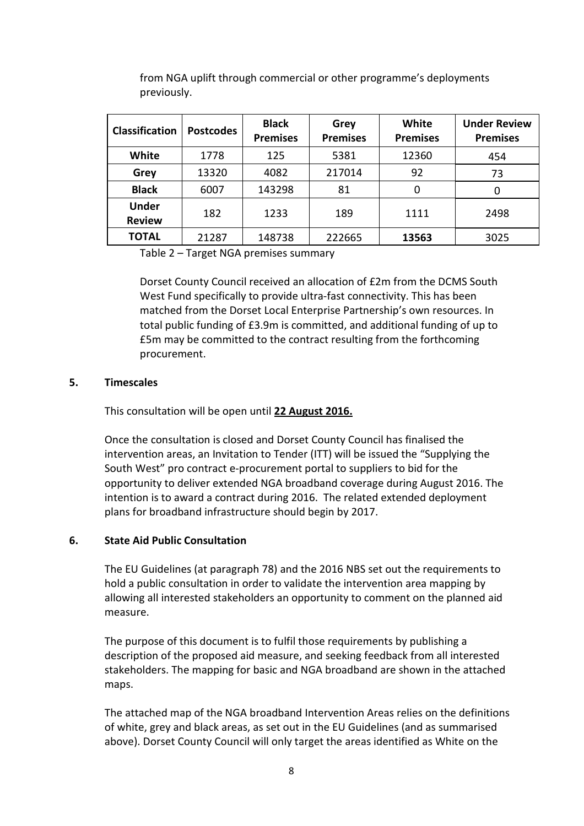| <b>Classification</b>         | <b>Postcodes</b> | <b>Black</b><br><b>Premises</b> | Grey<br><b>Premises</b> | White<br><b>Premises</b> | <b>Under Review</b><br><b>Premises</b> |
|-------------------------------|------------------|---------------------------------|-------------------------|--------------------------|----------------------------------------|
| White                         | 1778             | 125                             | 5381                    | 12360                    | 454                                    |
| Grey                          | 13320            | 4082                            | 217014                  | 92                       | 73                                     |
| <b>Black</b>                  | 6007             | 143298                          | 81                      | 0                        |                                        |
| <b>Under</b><br><b>Review</b> | 182              | 1233                            | 189                     | 1111                     | 2498                                   |
| <b>TOTAL</b>                  | 21287            | 148738                          | 222665                  | 13563                    | 3025                                   |

from NGA uplift through commercial or other programme's deployments previously.

Table 2 – Target NGA premises summary

Dorset County Council received an allocation of £2m from the DCMS South West Fund specifically to provide ultra-fast connectivity. This has been matched from the Dorset Local Enterprise Partnership's own resources. In total public funding of £3.9m is committed, and additional funding of up to £5m may be committed to the contract resulting from the forthcoming procurement.

### 5. Timescales

This consultation will be open until 22 August 2016.

Once the consultation is closed and Dorset County Council has finalised the intervention areas, an Invitation to Tender (ITT) will be issued the "Supplying the South West" pro contract e-procurement portal to suppliers to bid for the opportunity to deliver extended NGA broadband coverage during August 2016. The intention is to award a contract during 2016. The related extended deployment plans for broadband infrastructure should begin by 2017.

#### 6. State Aid Public Consultation

The EU Guidelines (at paragraph 78) and the 2016 NBS set out the requirements to hold a public consultation in order to validate the intervention area mapping by allowing all interested stakeholders an opportunity to comment on the planned aid measure.

The purpose of this document is to fulfil those requirements by publishing a description of the proposed aid measure, and seeking feedback from all interested stakeholders. The mapping for basic and NGA broadband are shown in the attached maps.

The attached map of the NGA broadband Intervention Areas relies on the definitions of white, grey and black areas, as set out in the EU Guidelines (and as summarised above). Dorset County Council will only target the areas identified as White on the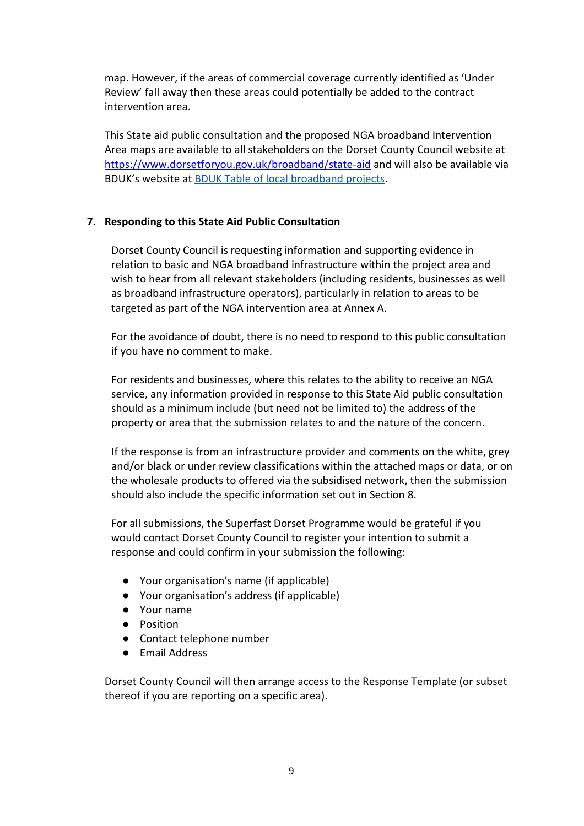map. However, if the areas of commercial coverage currently identified as 'Under Review' fall away then these areas could potentially be added to the contract intervention area.

This State aid public consultation and the proposed NGA broadband Intervention Area maps are available to all stakeholders on the Dorset County Council website at https://www.dorsetforyou.gov.uk/broadband/state-aid and will also be available via BDUK's website at BDUK Table of local broadband projects.

### 7. Responding to this State Aid Public Consultation

Dorset County Council is requesting information and supporting evidence in relation to basic and NGA broadband infrastructure within the project area and wish to hear from all relevant stakeholders (including residents, businesses as well as broadband infrastructure operators), particularly in relation to areas to be targeted as part of the NGA intervention area at Annex A.

For the avoidance of doubt, there is no need to respond to this public consultation if you have no comment to make.

For residents and businesses, where this relates to the ability to receive an NGA service, any information provided in response to this State Aid public consultation should as a minimum include (but need not be limited to) the address of the property or area that the submission relates to and the nature of the concern.

If the response is from an infrastructure provider and comments on the white, grey and/or black or under review classifications within the attached maps or data, or on the wholesale products to offered via the subsidised network, then the submission should also include the specific information set out in Section 8.

For all submissions, the Superfast Dorset Programme would be grateful if you would contact Dorset County Council to register your intention to submit a response and could confirm in your submission the following:

- Your organisation's name (if applicable)
- Your organisation's address (if applicable)
- Your name
- Position
- Contact telephone number
- Email Address

Dorset County Council will then arrange access to the Response Template (or subset thereof if you are reporting on a specific area).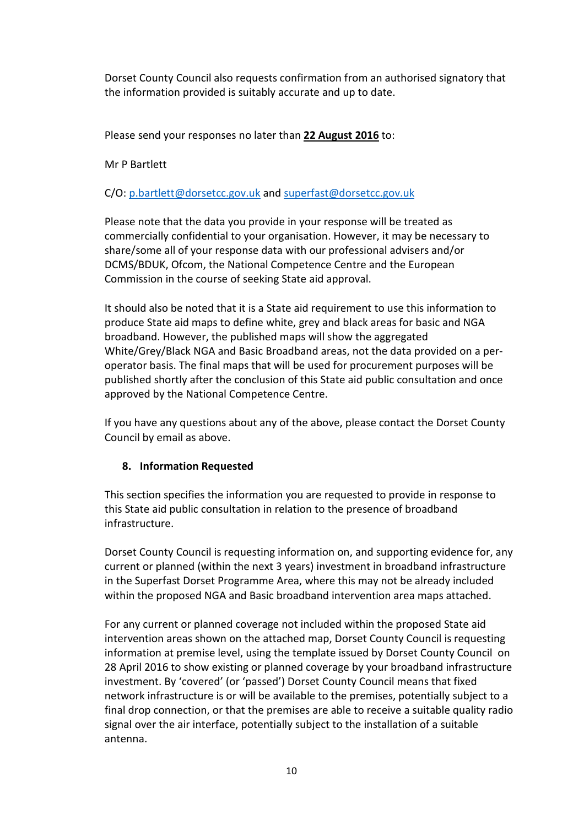Dorset County Council also requests confirmation from an authorised signatory that the information provided is suitably accurate and up to date.

Please send your responses no later than 22 August 2016 to:

Mr P Bartlett

C/O: p.bartlett@dorsetcc.gov.uk and superfast@dorsetcc.gov.uk

Please note that the data you provide in your response will be treated as commercially confidential to your organisation. However, it may be necessary to share/some all of your response data with our professional advisers and/or DCMS/BDUK, Ofcom, the National Competence Centre and the European Commission in the course of seeking State aid approval.

It should also be noted that it is a State aid requirement to use this information to produce State aid maps to define white, grey and black areas for basic and NGA broadband. However, the published maps will show the aggregated White/Grey/Black NGA and Basic Broadband areas, not the data provided on a peroperator basis. The final maps that will be used for procurement purposes will be published shortly after the conclusion of this State aid public consultation and once approved by the National Competence Centre.

If you have any questions about any of the above, please contact the Dorset County Council by email as above.

# 8. Information Requested

This section specifies the information you are requested to provide in response to this State aid public consultation in relation to the presence of broadband infrastructure.

Dorset County Council is requesting information on, and supporting evidence for, any current or planned (within the next 3 years) investment in broadband infrastructure in the Superfast Dorset Programme Area, where this may not be already included within the proposed NGA and Basic broadband intervention area maps attached.

For any current or planned coverage not included within the proposed State aid intervention areas shown on the attached map, Dorset County Council is requesting information at premise level, using the template issued by Dorset County Council on 28 April 2016 to show existing or planned coverage by your broadband infrastructure investment. By 'covered' (or 'passed') Dorset County Council means that fixed network infrastructure is or will be available to the premises, potentially subject to a final drop connection, or that the premises are able to receive a suitable quality radio signal over the air interface, potentially subject to the installation of a suitable antenna.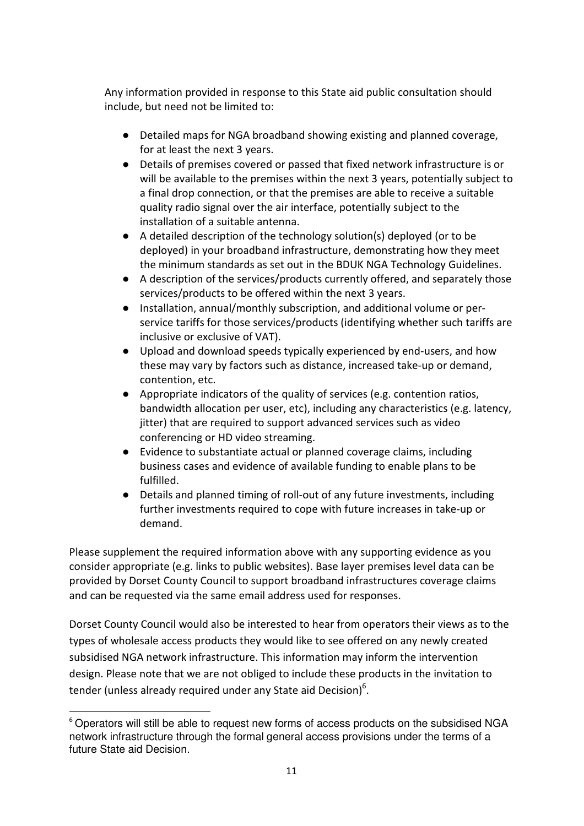Any information provided in response to this State aid public consultation should include, but need not be limited to:

- Detailed maps for NGA broadband showing existing and planned coverage. for at least the next 3 years.
- Details of premises covered or passed that fixed network infrastructure is or will be available to the premises within the next 3 years, potentially subject to a final drop connection, or that the premises are able to receive a suitable quality radio signal over the air interface, potentially subject to the installation of a suitable antenna.
- A detailed description of the technology solution(s) deployed (or to be deployed) in your broadband infrastructure, demonstrating how they meet the minimum standards as set out in the BDUK NGA Technology Guidelines.
- A description of the services/products currently offered, and separately those services/products to be offered within the next 3 years.
- Installation, annual/monthly subscription, and additional volume or perservice tariffs for those services/products (identifying whether such tariffs are inclusive or exclusive of VAT).
- Upload and download speeds typically experienced by end-users, and how these may vary by factors such as distance, increased take-up or demand, contention, etc.
- Appropriate indicators of the quality of services (e.g. contention ratios, bandwidth allocation per user, etc), including any characteristics (e.g. latency, jitter) that are required to support advanced services such as video conferencing or HD video streaming.
- Evidence to substantiate actual or planned coverage claims, including business cases and evidence of available funding to enable plans to be fulfilled.
- Details and planned timing of roll-out of any future investments, including further investments required to cope with future increases in take-up or demand.

Please supplement the required information above with any supporting evidence as you consider appropriate (e.g. links to public websites). Base layer premises level data can be provided by Dorset County Council to support broadband infrastructures coverage claims and can be requested via the same email address used for responses.

Dorset County Council would also be interested to hear from operators their views as to the types of wholesale access products they would like to see offered on any newly created subsidised NGA network infrastructure. This information may inform the intervention design. Please note that we are not obliged to include these products in the invitation to tender (unless already required under any State aid Decision) $^6$ .

 $\overline{\phantom{0}}$  $6$  Operators will still be able to request new forms of access products on the subsidised NGA network infrastructure through the formal general access provisions under the terms of a future State aid Decision.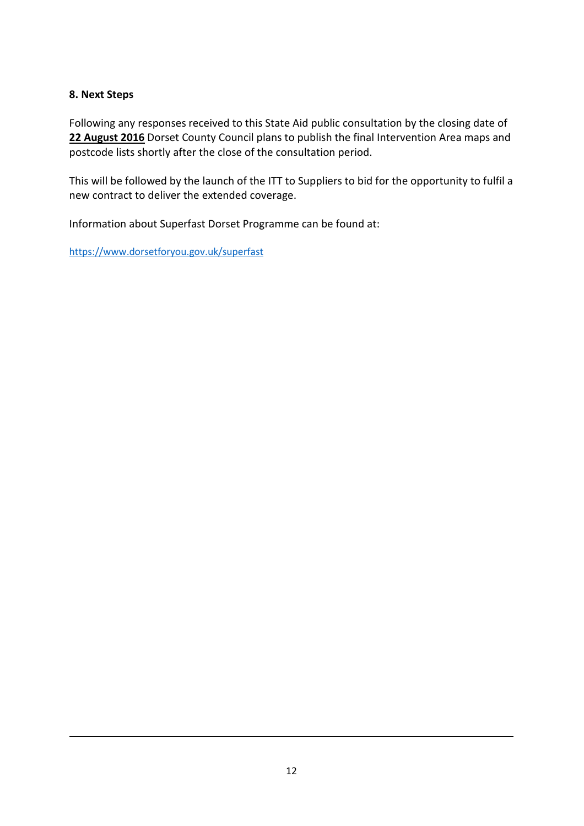# 8. Next Steps

l

Following any responses received to this State Aid public consultation by the closing date of 22 August 2016 Dorset County Council plans to publish the final Intervention Area maps and postcode lists shortly after the close of the consultation period.

This will be followed by the launch of the ITT to Suppliers to bid for the opportunity to fulfil a new contract to deliver the extended coverage.

Information about Superfast Dorset Programme can be found at:

https://www.dorsetforyou.gov.uk/superfast